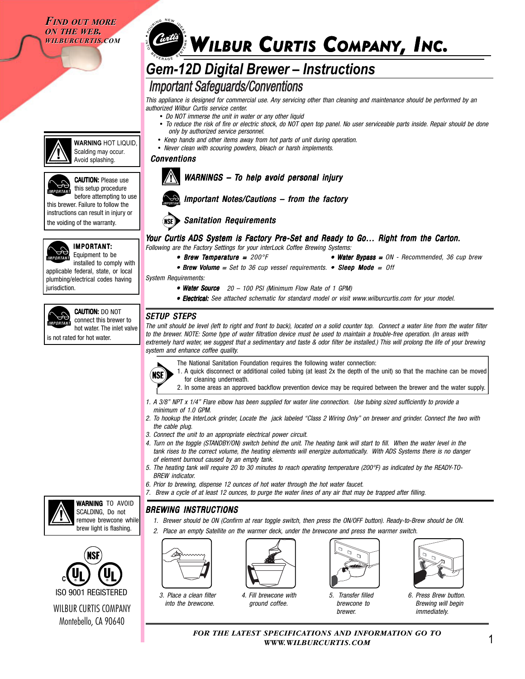*FIND OUT MORE FIND OUT MORE ON THE WEB. ON THE WEB. WILBURCURTIS.COM WILBURCURTIS.COM*

## *Code* WILBUR CURTIS COMPANY, INC.

## *Gem-12D Digital Brewer – Instructions*

## **Important Safeguards/Conventions**

*This appliance is designed for commercial use. Any servicing other than cleaning and maintenance should be performed by an authorized Wilbur Curtis service center.*

*• Do NOT immerse the unit in water or any other liquid*

*Sanitation Requirements*

- *To reduce the risk of fire or electric shock, do NOT open top panel. No user serviceable parts inside. Repair should be done only by authorized service personnel.*
- *Keep hands and other items away from hot parts of unit during operation.*

*WARNINGS – To help avoid personal injury* 

*Important Notes/Cautions – from the factory*

*• Water Source 20 – • Water Source 100 PSI (Minimum Flow Rate of 1 GPM)*

*• Never clean with scouring powders, bleach or harsh implements.*

*Following are the Factory Settings for your interLock Coffee Brewing Systems:*

*Conventions*



**CAUTION: Please use** 

**WARNING** HOT LIQUID, Scalding may occur. Avoid splashing.

this setup procedure before attempting to use this brewer. Failure to follow the instructions can result in injury or the voiding of the warranty.



## IMPORTANT: Equipment to be

installed to comply with applicable federal, state, or local plumbing/electrical codes having jurisdiction.



CAUTION: DO NOT connect this brewer to hot water. The inlet valve

is not rated for hot water.

WILBUR CURTIS COMPANY Montebello, CA 90640

**C**

**WARNING TO AVOID** SCALDING, Do not remove brewcone while brew light is flashing.



### *SETUP STEPS*

(NSE)

*System Requirements:*

*The unit should be level (left to right and front to back), located on a solid counter top. Connect a water line from the water filter to the brewer. NOTE: Some type of water filtration device must be used to maintain a trouble-free operation. (In areas with extremely hard water, we suggest that a sedimentary and taste & odor filter be installed.) This will prolong the life of your brewing system and enhance coffee quality.*

*• Electrical: • Electrical: See attached schematic for standard model or visit www.wilburcurtis.com for your model.*

*Your Curtis ADS System is Factory Pre-Set and Ready to Go... Right from the Carton.* 

 $\bullet$  **Brew Volume** = Set to 36 cup vessel requirements.  $\bullet$  **Sleep Mode** = Off

- The National Sanitation Foundation requires the following water connection:
	- 1. A quick disconnect or additional coiled tubing (at least 2x the depth of the unit) so that the machine can be moved for cleaning underneath.

• Brew Temperature =  $200^{\circ}$ F **exercise = • Water Bypass** =  $0$ N - Recommended, 36 cup brew

- 2. In some areas an approved backflow prevention device may be required between the brewer and the water supply.
- *1. A 3/8" NPT x 1/4" Flare elbow has been supplied for water line connection. Use tubing sized sufficiently to provide a minimum of 1.0 GPM.*
- *2. To hookup the InterLock grinder, Locate the jack labeled "Class 2 Wiring Only" on brewer and grinder. Connect the two with the cable plug.*
- *3. Connect the unit to an appropriate electrical power circuit.*
- *4. Turn on the toggle (STANDBY/ON) switch behind the unit. The heating tank will start to fill. When the water level in the tank rises to the correct volume, the heating elements will energize automatically. With ADS Systems there is no danger of element burnout caused by an empty tank.*
- *5. The heating tank will require 20 to 30 minutes to reach operating temperature (200°F) as indicated by the READY-TO-BREW indicator.*
- *6. Prior to brewing, dispense 12 ounces of hot water through the hot water faucet.*
- *7. Brew a cycle of at least 12 ounces, to purge the water lines of any air that may be trapped after filling.*

*BREWING INSTRUCTIONS*

- *1. Brewer should be ON (Confirm at rear toggle switch, then press the ON/OFF button). Ready-to-Brew should be ON.*
- *2. Place an empty Satellite on the warmer deck, under the brewcone and press the warmer switch.*



*3. Place a clean filter into the brewcone.*



*4. Fill brewcone with ground coffee.*



*5. Transfer filled brewcone to brewer.*



*6. Press Brew button. Brewing will begin immediately.*

*FOR THE LATEST SPECIFICATIONS AND INFORMATION GO TO WWW.WILBURCURTIS.COM*

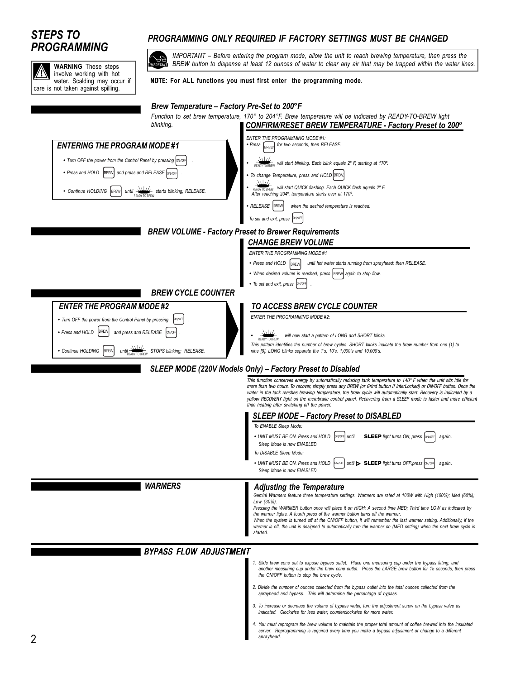# *PROGRAMMING*



## *STEPS TO PROGRAMMING ONLY REQUIRED IF FACTORY SETTINGS MUST BE CHANGED*

*IMPORTANT – Before entering the program mode, allow the unit to reach brewing temperature, then press the BREW button to dispense at least 12 ounces of water to clear any air that may be trapped within the water lines.*

*server. Reprogramming is required every time you make a bypass adjustment or change to a different*

### NOTE: **For ALL functions you must first enter the programming mode.**

*Brew Temperature – Factory Pre-Set to 200°F*

#### *1. Slide brew cone out to expose bypass outlet. Place one measuring cup under the bypass fitting, and another measuring cup under the brew cone outlet. Press the LARGE brew button for 15 seconds, then press the ON/OFF button to stop the brew cycle. 2. Divide the number of ounces collected from the bypass outlet into the total ounces collected from the* sprayhead and bypass. This will determine the percentage of bypass. *3. To increase or decrease the volume of bypass water, turn the adjustment screw on the bypass valve as indicated. Clockwise for less water; counterclockwise for more water. 4. You must reprogram the brew volume to maintain the proper total amount of coffee brewed into the insulated BYPASS FLOW ADJUSTMENT TO ACCESS BREW CYCLE COUNTER ENTER THE PROGRAMMING MODE #2:* y *will now start a pattern of LONG and SHORT blinks. This pattern identifies the number of brew cycles. SHORT blinks indicate the brew number from one [1] to nine [9]. LONG blinks separate the 1's, 10's, 1,000's and 10,000's. BREW CYCLE COUNTER*  $\frac{\Delta\Delta L}{\Delta R}$ • Turn OFF the power from the Control Panel by pressing **. DINAGE** • Press and HOLD **[BREW]** and press and RELEASE  $\sqrt{a}$ • Continue HOLDING BREW until **STOPS blinking**; RELEASE. *ENTER THE PROGRAM MODE #2 ENTER THE PROGRAMMING MODE #1* • Press and HOLD **BREW** until hot water starts running from sprayhead; then RELEASE. • When desired volume is reached, press **BREW** again to stop flow. • *To set and exit, press*  $\boxed{\text{CIV-OFF}}$ *BREW VOLUME - Factory Preset to Brewer Requirements CHANGE BREW VOLUME CONFIRM/RESET BREW TEMPERATURE - Factory Preset to 200º ENTER THE PROGRAMMING MODE #1:* y *Press for two seconds, then RELEASE.* • **READY TO BREW** will start blinking. Each blink equals 2° F, starting at 170°. *To change Temperature, press and HOLD* **BREW** *.* y *will start QUICK flashing. Each QUICK flash equals 2º F.* **After reaching 204°, temperature starts over at 170°.**<br>After reaching 204°, temperature starts over at 170°. y *RELEASE when the desired temperature is reached. To set and exit, press*  $\sqrt{N/DF}$ *Function to set brew temperature, 170° to 204°F. Brew temperature will be indicated by READY-TO-BREW light blinking.* • Turn OFF the power from the Control Panel by pressing **PIN** OF • Press and HOLD **BREW** and press and RELEASE **ON/OF** • Continue HOLDING **BREW** until **WILLY** starts blinking; RELEASE. *ENTERING THE PROGRAM MODE #1 SLEEP MODE (220V Models Only) – Factory Preset to Disabled This function conserves energy by automatically reducing tank temperature to 140º F when the unit sits idle for more than two hours. To recover, simply press any BREW (or Grind button if InterLocked) or ON/OFF button. Once the* water in the tank reaches brewing temperature, the brew cycle will automatically start. Recovery is indicated by a<br>yellow RECOVERY light on the membrane control panel. Recovering from a SLEEP mode is faster and more effici *than heating after switching off the power. To ENABLE Sleep Mode:* • UNIT MUST BE ON. Press and HOLD  $\left| \text{owoff} \right|$  until **SLEEP** light turns ON; press  $\left| \text{awoff} \right|$  again.  *Sleep Mode is now ENABLED. To DISABLE Sleep Mode:* • UNIT MUST BE ON. Press and HOLD  $\left[\text{a}$ <sub>UNIT</sub> until **> SLEEP** light turns OFF;press  $\left[\text{a}$ <sub>NOTF</sub> again.  *Sleep Mode is now ENABLED. SLEEP MODE – Factory Preset to DISABLED WARMERS Gemini Warmers feature three temperature settings. Warmers are rated at 100W with High (100%); Med (60%); Low (30%). Pressing the WARMER button once will place it on HIGH; A second time MED; Third time LOW as indicated by the warmer lights. A fourth press of the warmer button turns off the warmer. When the system is turned off at the ON/OFF button, it will remember the last warmer setting. Additionally, if the warmer is off, the unit is designed to automatically turn the warmer on (MED setting) when the next brew cycle is started. Adjusting the Temperature*

*sprayhead.*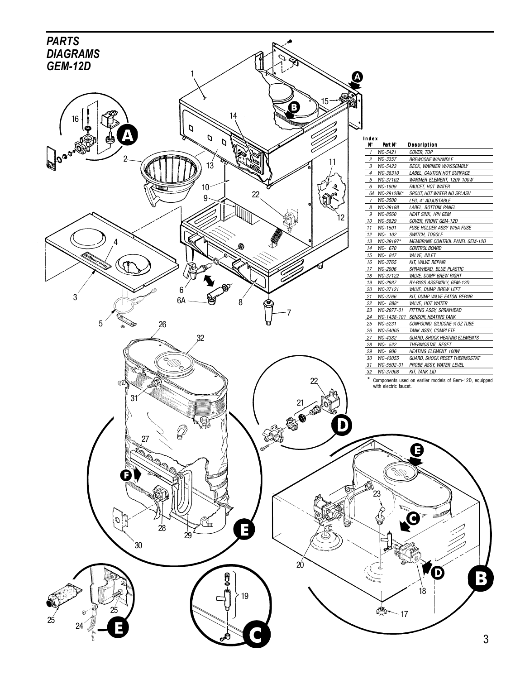